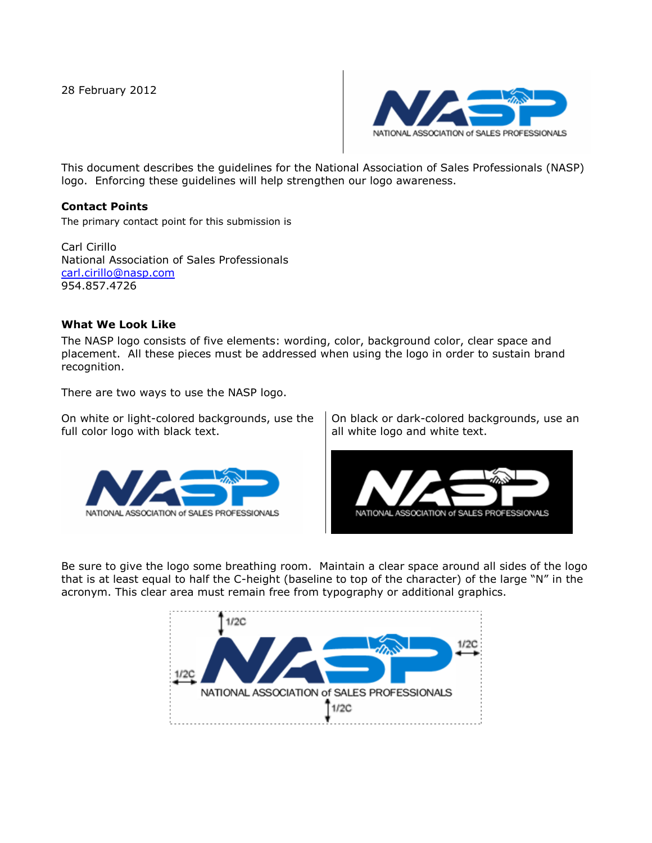28 February 2012



This document describes the guidelines for the National Association of Sales Professionals (NASP) logo. Enforcing these guidelines will help strengthen our logo awareness.

## **Contact Points**

The primary contact point for this submission is

Carl Cirillo National Association of Sales Professionals [carl.cirillo@nasp.com](mailto:carl.cirillo@nasp.com) 954.857.4726

## **What We Look Like**

The NASP logo consists of five elements: wording, color, background color, clear space and placement. All these pieces must be addressed when using the logo in order to sustain brand recognition.

There are two ways to use the NASP logo.

On white or light-colored backgrounds, use the full color logo with black text.



On black or dark-colored backgrounds, use an all white logo and white text.



Be sure to give the logo some breathing room. Maintain a clear space around all sides of the logo that is at least equal to half the C-height (baseline to top of the character) of the large "N" in the acronym. This clear area must remain free from typography or additional graphics.